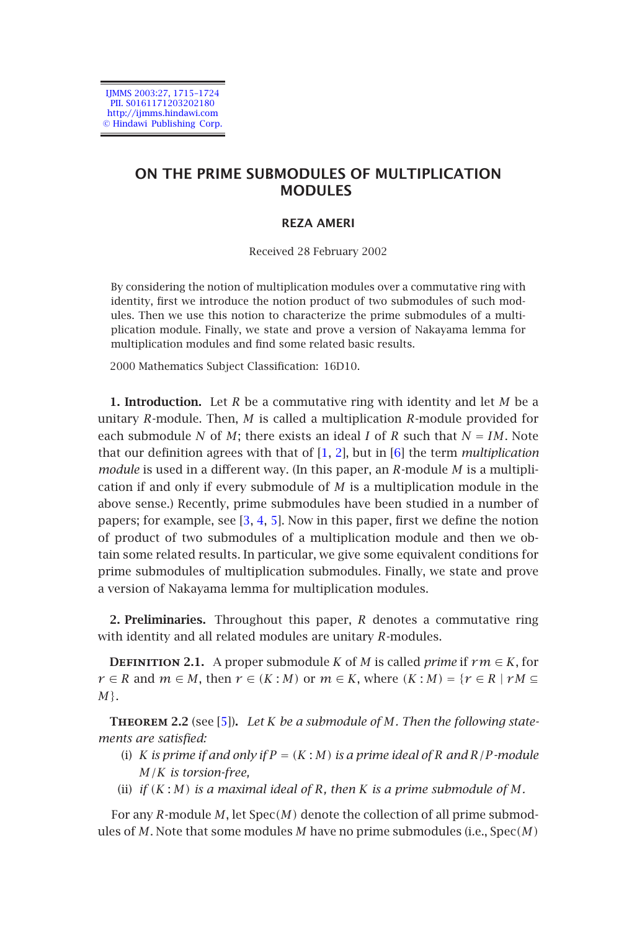IJMMS 2003:27, 1715–1724 PII. S0161171203202180 http://ijmms.hindawi.com © Hindawi Publishing Corp.

# **ON THE PRIME SUBMODULES OF MULTIPLICATION MODULES**

# **REZA AMERI**

Received 28 February 2002

By considering the notion of multiplication modules over a commutative ring with identity, first we introduce the notion p[rod](#page-9-0)[uc](#page-9-1)t of two [su](#page-9-2)bmodules of such modules. Then we use this notion to characterize the prime submodules of a multiplication module. Finally, we state and prove a version of Nakayama lemma for multiplication modules and find some related basic results.

2000 Mathematics Subjec[t C](#page-9-3)[las](#page-9-4)[sifi](#page-9-5)cation: 16D10.

**1. Introduction.** Let *R* be a commutative ring with identity and let *M* be a unitary *R*-module. Then, *M* is called a multiplication *R*-module provided for each submodule *N* of *M*; there exists an ideal *I* of *R* such that  $N = IM$ . Note that our definition agrees with that of [1, 2], but in [6] the term *multiplication module* is used in a different way. (In this paper, an *R*-module *M* is a multiplication if and only if every submodule of *M* is a multiplication module in the above sense.) Recently, prime submodules have been studied in a number of papers; for example, see  $[3, 4, 5]$ . Now in this paper, first we define the notion of product of two submodules of a multiplication module and then we obtain some related results. In particular, we give some equivalent conditions for prime submodules o[f m](#page-9-5)ultiplication submodules. Finally, we state and prove a version of Nakayama lemma for multiplication modules.

**2. Preliminaries.** Throughout this paper, *R* denotes a commutative ring with identity and all related modules are unitary *R*-modules.

**DEFINITION 2.1.** A proper submodule *K* of *M* is called *prime* if  $rm \in K$ , for *r* ∈ *R* and *m* ∈ *M*, then *r* ∈ *(K* : *M)* or *m* ∈ *K*, where  $(K : M) = \{r \in R \mid rM \subseteq$ *M*}.

**Theorem 2.2** (see [5])**.** *Let K be a submodule of M. Then the following statements are satisfied:*

- (i) *K* is prime if and only if  $P = (K : M)$  is a prime ideal of R and  $R/P$ -module *M/K is torsion-free,*
- (ii) *if*  $(K : M)$  *is a maximal ideal of R, then*  $K$  *is a prime submodule of*  $M$ *.*

For any *R*-module *M*, let Spec*(M)* denote the collection of all prime submodules of *M*. Note that some modules *M* have no prime submodules (i.e., Spec*(M)*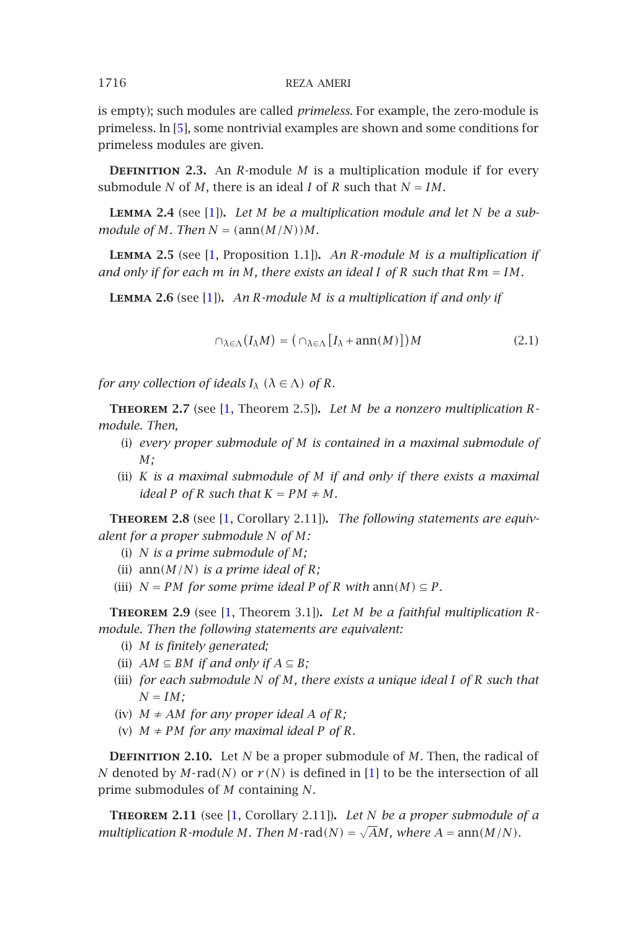<span id="page-1-2"></span><span id="page-1-0"></span>is empty); such mo[du](#page-9-0)les are called *primeless*. For example, the zero-module is primeless. In [5], some nontrivial examples are shown and some conditions for primeless module[s a](#page-9-0)re given.

**DEFINITION 2.3.** An  $R$ -module  $M$  is a multiplication module if for every submodule *N* of *M*, there is an ideal *I* of *R* such that  $N = IM$ .

**Lemma 2.4** (see [1])**.** *Let M be a multiplication module and let N be a submodule of M. Then*  $N = (\text{ann}(M/N))M$ *.* 

<span id="page-1-4"></span>**Lemma 2.5** (see [1, [Pr](#page-9-0)oposition 1.1])**.** *An R-module M is a multiplication if and only if for each m in M, there exists an ideal I of R such that Rm* = *IM.*

**Lemma 2.6** (see [1])**.** *An R-module M is a multiplication if and only if*

$$
\cap_{\lambda \in \Lambda} (I_{\lambda} M) = (\cap_{\lambda \in \Lambda} [I_{\lambda} + \operatorname{ann}(M)]) M \tag{2.1}
$$

<span id="page-1-1"></span>*for any collection of ideals*  $I_\lambda$   $(\lambda \in \Lambda)$  *of*  $R$ *.* 

**Theorem 2.7** (see [1, Theorem 2.5])**.** *Let M be a nonzero multiplication Rmodule. Then,*

- (i) *every proper submodule of M is contained in a maximal submodule of M;*
- (ii) *K is a maximal submodule of M if and only if there exists a maximal ideal*  $P$  *of*  $R$  *such that*  $K = PM \neq M$ *.*

**Theorem 2.8** (see [1, Corollary 2.11])**.** *The following statements are equivalent for a proper submodule N of M:*

- (i) *N is a prime submodule of M;*
- (ii)  $\text{ann}(M/N)$  *is a prime ideal of R*;
- (iii)  $N = PM$  *for some prime ideal P of R with* ann $(M) \subseteq P$ *.*

<span id="page-1-3"></span>**Theorem 2.9** (see [1, Theorem 3.1])**.** *Let M be a faithful multiplication Rmodule. Then the following statements are equi[va](#page-9-0)lent:*

- (i) *M is finitely generated;*
- (ii)  $AM \subseteq BM$  *if an[d o](#page-9-0)nly if*  $A \subseteq B$ ;
- (iii) *for each submodule N of M, there exists a unique ideal I of R such that*  $N = IM;$
- (iv)  $M \neq AM$  *for any proper ideal*  $A$  *of*  $R$ *;*
- (v)  $M \neq PM$  *for any maximal ideal*  $P$  *of*  $R$ *.*

**DEFINITION 2.10.** Let *N* be a proper submodule of *M*. Then, the radical of *N* denoted by *M*-rad(*N*) or  $r(N)$  is defined in [1] to be the intersection of all prime submodules of *M* containing *N*.

**Theorem 2.11** (see [1, Corollary 2.11])**.** *Let N be a proper submodule of a multiplication R-module M. Then M-rad*(*N*) = √*AM, where A* = ann(*M*/*N*)*.*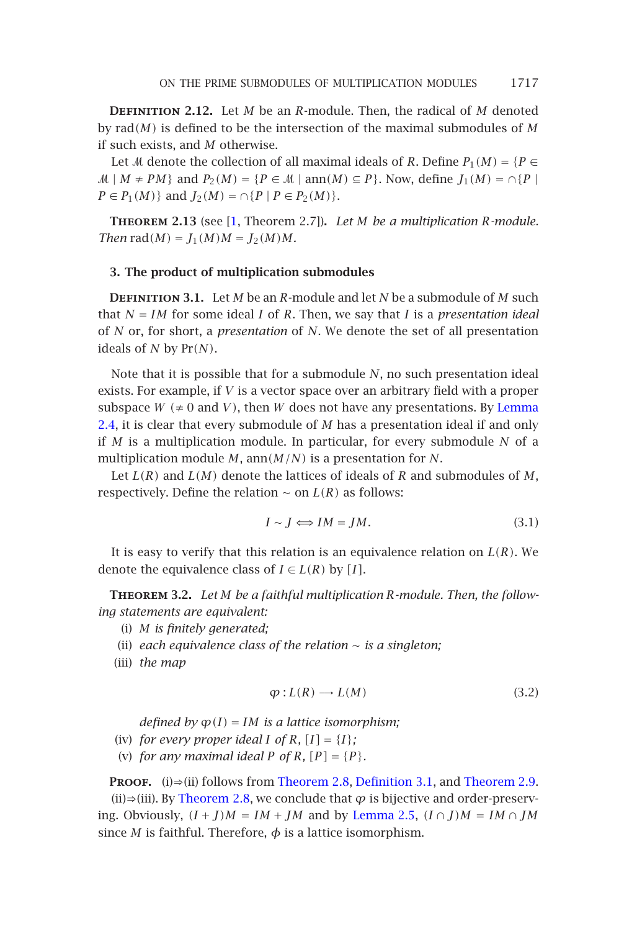<span id="page-2-1"></span><span id="page-2-0"></span>**Definition 2.12.** Let *M* be an *R*-module. Then, the radical of *M* denoted by rad*(M)* is defined to be the intersection of the maximal submodules of *M* if such exists, and *M* otherwise.

Let *M* denote the collection of all maximal ideals of *R*. Define  $P_1(M) = {P \in$  $\mathcal{M} \mid M \neq PM$  and  $P_2(M) = \{P \in \mathcal{M} \mid \text{ann}(M) \subseteq P\}$ . Now, define  $J_1(M) = \cap \{P \mid \text{min}(M) = P\}$ *P* ∈ *P*<sub>1</sub>(*M*)} and *J*<sub>2</sub>(*M*) = ∩{*P* | *P* ∈ *P*<sub>2</sub>(*M*)}.

**Theorem 2.13** (see [1, Theorem 2.7])**.** *Let M be a multiplication R-module. Then*  $rad(M) = J_1(M)M = J_2(M)M$ .

## **[3.](#page-1-0) The product of multiplication submodules**

**Definition 3.1.** Let *M* be an *R*-module and let *N* be a submodule of *M* such that *N* = *IM* for some ideal *I* of *R*. Then, we say that *I* is a *presentation ideal* of *N* or, for short, a *presentation* of *N*. We denote the set of all presentation ideals of *N* by Pr*(N)*.

Note that it is possible that for a submodule *N*, no such presentation ideal exists. For example, if *V* is a vector space over an arbitrary field with a proper subspace  $W$  ( $\neq$  0 and *V*), then *W* does not have any presentations. By Lemma 2.4, it is clear that every submodule of *M* has a presentation ideal if and only if *M* is a multiplication module. In particular, for every submodule *N* of a multiplication module *M*, ann*(M/N)* is a presentation for *N*.

Let *L(R)* and *L(M)* denote the lattices of ideals of *R* and submodules of *M*, respectively. Define the relation  $\sim$  on  $L(R)$  as follows:

$$
I \sim J \Longleftrightarrow IM = JM. \tag{3.1}
$$

It is easy to verify that this relation is an equivalence relation on *L(R)*. We denote the equivalence class of  $I \in L(R)$  by [*I*].

**Theorem 3.2.** *Let M be a faithful multiplication R-module. Then, the following statements are equivalent:*

- (i) *M is finitely generated;*
- (ii) *each e[quivalence cla](#page-1-1)ss o[f](#page-1-1) [the](#page-1-1) [relation](#page-1-1)*  $\sim$  *[is](#page-2-0) [a](#page-2-0) [singleton](#page-2-0);*

(iii) *the map*

$$
\varphi: L(R) \longrightarrow L(M) \tag{3.2}
$$

*defined by*  $\varphi(I) = IM$  *is a lattice isomorphism;* 

- (iv) *for every proper ideal I of R*,  $[I] = \{I\}$ ;
- (v) *for any maximal ideal*  $P$  *of*  $R$ *,*  $[P] = \{P\}$ *.*

**PROOF.** (i)⇒(ii) follows from Theorem 2.8, Definition 3.1, and Theorem 2.9.

(ii)⇒(iii). By Theorem 2.8, we conclude that  $\varphi$  is bijective and order-preserving. Obviously,  $(I + J)M = IM + JM$  and by Lemma 2.5,  $(I \cap J)M = IM \cap JM$ since *M* is faithful. Therefore,  $\phi$  is a lattice isomorphism.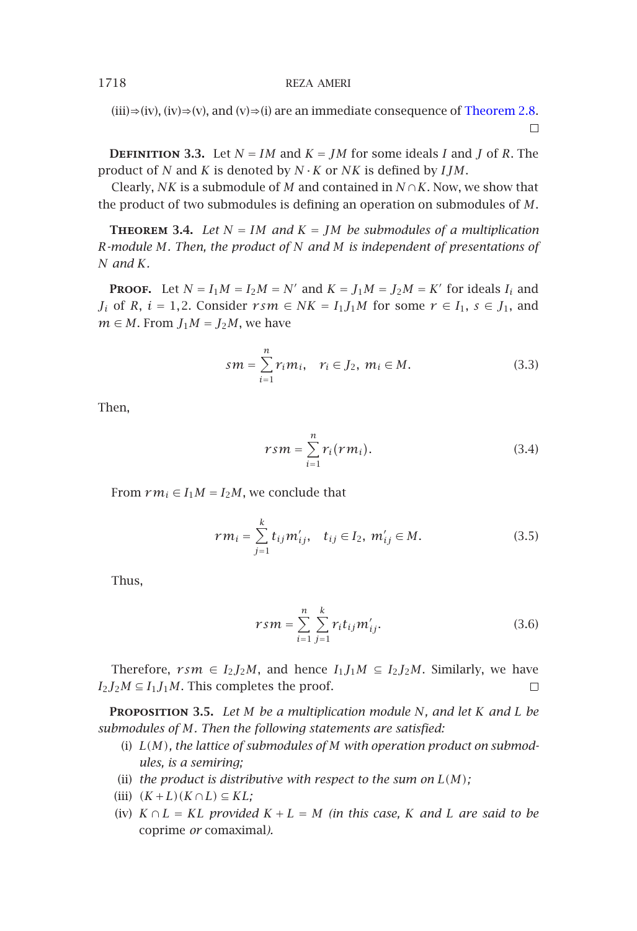<span id="page-3-1"></span><span id="page-3-0"></span>(iii)⇒(iv), (iv)⇒(v), and (v)⇒(i) are an immediate consequence of Theorem 2.8.  $\Box$ 

**DEFINITION** 3.3. Let  $N = IM$  and  $K = JM$  for some ideals *I* and *J* of *R*. The product of *N* and *K* is denoted by *N* ·*K* or *NK* is defined by *IJM*.

Clearly, *NK* is a submodule of *M* and contained in *N* ∩*K*. Now, we show that the product of two submodules is defining an operation on submodules of *M*.

**THEOREM 3.4.** Let  $N = IM$  and  $K = JM$  be submodules of a multiplication *R-module M. Then, the product of N and M is independent of presentations of N and K.*

**PROOF.** Let  $N = I_1M = I_2M = N'$  and  $K = J_1M = J_2M = K'$  for ideals  $I_i$  and *J<sub>i</sub>* of *R*,  $i = 1, 2$ . Consider  $r s m \in NK = I_1 J_1 M$  for some  $r \in I_1$ ,  $s \in J_1$ , and  $m \in M$ . From  $J_1M = J_2M$ , we have

$$
sm = \sum_{i=1}^{n} r_i m_i, \quad r_i \in J_2, \ m_i \in M.
$$
 (3.3)

Then,

$$
rsm = \sum_{i=1}^{n} r_i(rm_i). \tag{3.4}
$$

From  $rm_i \in I_1M = I_2M$ , we conclude that

$$
rm_{i} = \sum_{j=1}^{k} t_{ij} m'_{ij}, \quad t_{ij} \in I_2, \ m'_{ij} \in M.
$$
 (3.5)

Thus,

$$
rsm = \sum_{i=1}^{n} \sum_{j=1}^{k} r_i t_{ij} m'_{ij}.
$$
 (3.6)

Therefore,  $rsm \in I_2J_2M$ , and hence  $I_1J_1M \subseteq I_2J_2M$ . Similarly, we have  $I_2J_2M \subseteq I_1J_1M$ . This completes the proof.  $\Box$ 

**Proposition 3.5.** *Let M be a multiplication module N, and let K and L be submodules of M. Then the following statements are satisfied:*

- (i) *L(M), the lattice of submodules of M with operation product on submodules, is a semiring;*
- (ii) *the product is distributive with respect to the sum on*  $L(M)$ ;

(iii) 
$$
(K+L)(K \cap L) \subseteq KL;
$$

(iv)  $K \cap L = KL$  *provided*  $K + L = M$  *(in this case,*  $K$  *and*  $L$  *are said to be* coprime *or* comaximal*).*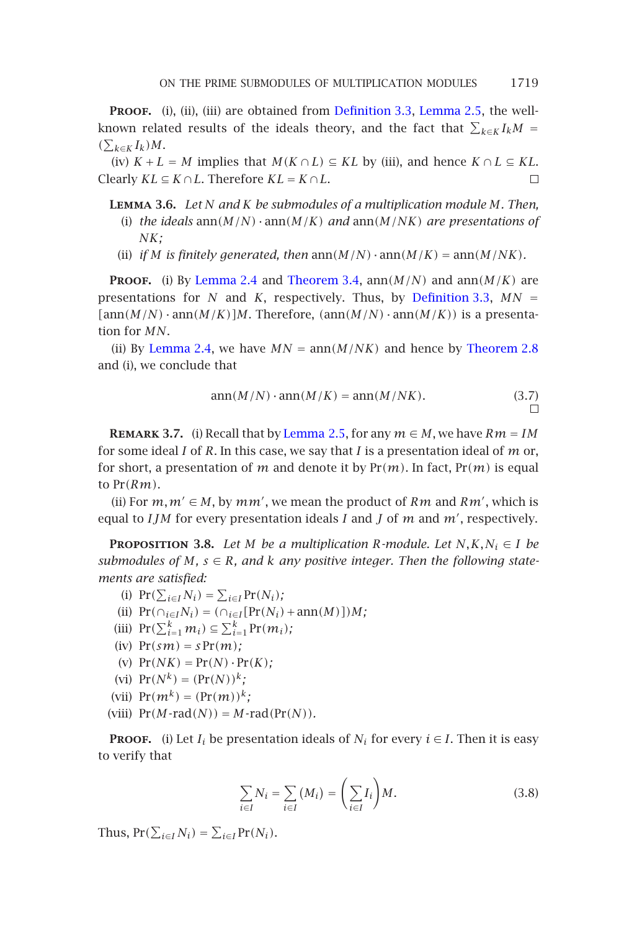**PROOF.** (i), (ii), (iii) are obtained from Definition 3.3, Lemma 2.5, the wellknown related r[esults of th](#page-1-0)e i[deals theory,](#page-3-0) and the fact that  $\sum_{k \in K} I_k M =$  $(\sum_{k \in K} I_k)M$ .

(iv)  $K + L = M$  implies that  $M(K \cap L) \subseteq KL$  by (iii), and hence  $K \cap L \subseteq KL$ . *Clearly*  $KL \subseteq K \cap L$ *. Therefore*  $KL = K \cap L$ *.*  $\Box$ 

- **Lemma [3.6](#page-1-0).** *Let N and K be submodules of a multiplication module M[.](#page-1-1) [Then,](#page-1-1)* (i) *the ideals* ann*(M/N)* ·ann*(M/K) and* ann*(M/NK) are presentations of NK;*
- (ii) *if M is finitely generated, then*  $ann(M/N) \cdot ann(M/K) = ann(M/NK)$ *.*

<span id="page-4-0"></span>**PROOF.** (i) By Lemma 2.4 and [Theorem 3](#page-1-2).4,  $ann(M/N)$  and  $ann(M/K)$  are presentations for *N* and *K*, respectively. Thus, by Definition 3.3,  $MN =$  $[ann(M/N) \cdot ann(M/K)]M$ . Therefore,  $(ann(M/N) \cdot ann(M/K))$  is a presentation for *MN*.

(ii) By Lemma 2.4, we have  $MN = \text{ann}(M/NK)$  and hence by Theorem 2.8 and (i), we conclude that

$$
ann(M/N) \cdot ann(M/K) = ann(M/NK). \tag{3.7}
$$

**REMARK 3.7.** (i) Recall that by Lemma 2.5, for any  $m \in M$ , we have  $Rm = IM$ for some ideal *I* of *R*. In this case, we say that *I* is a presentation ideal of *m* or, for short, a presentation of *m* and denote it by Pr*(m)*. In fact, Pr*(m)* is equal to Pr*(Rm)*.

(ii) For  $m, m' \in M$ , by  $mm'$ , we mean the product of  $Rm$  and  $Rm'$ , which is equal to *IJM* for every presentation ideals *I* and *J* of *m* and *m'*, respectively.

**PROPOSITION** 3.8. *Let M be a multiplication R-module. Let*  $N, K, N_i \in I$  *be submodules of*  $M$ ,  $s \in R$ , and  $k$  *any positive integer. Then the following statements are satisfied:*

(i)  $Pr(\sum_{i \in I} N_i) = \sum_{i \in I} Pr(N_i)$ ;  $(iii)$   $Pr(\bigcap_{i \in I} N_i) = (\bigcap_{i \in I} [Pr(N_i) + ann(M)])M$ ; (iii)  $Pr(\sum_{i=1}^{k} m_i) \subseteq \sum_{i=1}^{k} Pr(m_i)$ ; (iv)  $Pr(sm) = s Pr(m)$ ; (v)  $Pr(NK) = Pr(N) \cdot Pr(K)$ ; (vi)  $Pr(N^k) = (Pr(N))^k$ ; (vii)  $Pr(m^k) = (Pr(m))^k$ ;  $V$ (viii)  $Pr(M$ - $rad(N)) = M$ - $rad(Pr(N))$ *.* 

**PROOF.** (i) Let  $I_i$  be presentation ideals of  $N_i$  for every  $i \in I$ . Then it is easy to verify that

$$
\sum_{i \in I} N_i = \sum_{i \in I} (M_i) = \left(\sum_{i \in I} I_i\right) M. \tag{3.8}
$$

Thus,  $Pr(\sum_{i \in I} N_i) = \sum_{i \in I} Pr(N_i)$ .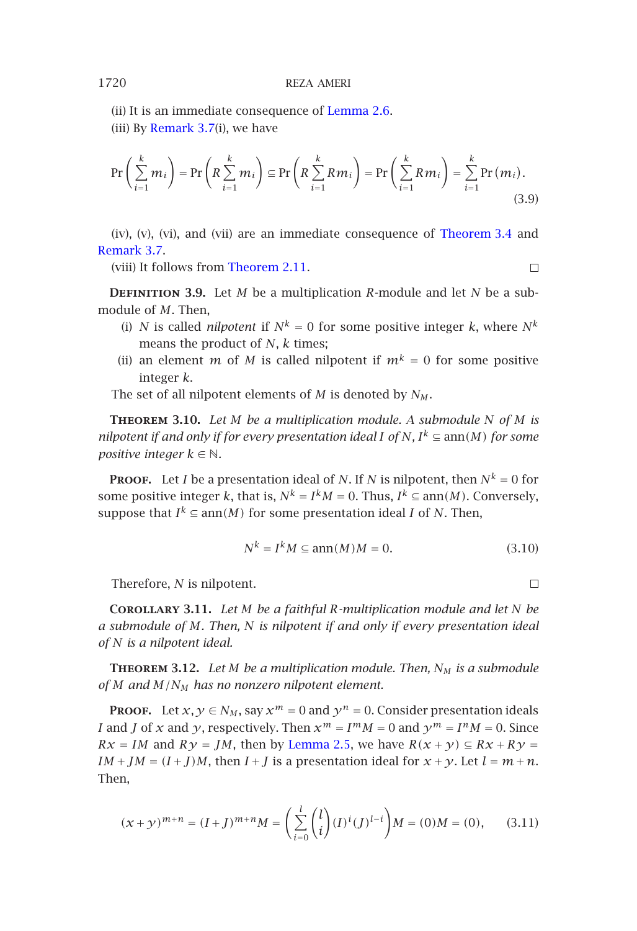[\(ii\)](#page-4-0) [It](#page-4-0) [is](#page-4-0) [an](#page-4-0) immediat[e consequence](#page-1-3) of Lemma 2.6. (iii) By Remark  $3.7(i)$ , we have

$$
\sum_{i=1}^{n} a_i
$$

$$
\Pr\left(\sum_{i=1}^{k} m_i\right) = \Pr\left(R \sum_{i=1}^{k} m_i\right) \subseteq \Pr\left(R \sum_{i=1}^{k} R m_i\right) = \Pr\left(\sum_{i=1}^{k} R m_i\right) = \sum_{i=1}^{k} \Pr\left(m_i\right).
$$
\n(3.9)

(iv), (v), (vi), and (vii) are an immediate consequence of Theorem 3.4 and Remark 3.7.

(viii) It follows from Theorem 2.11.

 $\Box$ 

**DEFINITION** 3.9. Let *M* be a multiplication *R*-module and let *N* be a submodule of *M*. Then,

- (i) *N* is called *nilpotent* if  $N^k = 0$  for some positive integer *k*, where  $N^k$ means the product of *N*, *k* times;
- (ii) an element *m* of *M* is called nilpotent if  $m^k = 0$  for some positive integer *k*.
- The set of all nilpotent elements of *M* is denoted by *NM* .

**Theorem 3.10.** *Let M be a multiplication module. A submodule N of M is nilpotent if and only if for every presentation ideal I of N,*  $I^k \subseteq \text{ann}(M)$  *for some positive integer*  $k \in \mathbb{N}$ *.* 

**PROOF.** Let *I* be a presentation ideal of *N*. If *N* is nilpotent, then  $N^k = 0$  for some positive integer *k*, that is,  $N^k = I^k M = 0$ . Thus,  $I^k \subseteq \text{ann}(M)$ . Conversely, suppose that  $I^k \subseteq \text{ann}(M)$  for some presentation ideal *I* of *N*. Then,

$$
N^k = I^k M \subseteq \operatorname{ann}(M)M = 0. \tag{3.10}
$$

Therefore, *N* is nilpotent.

 $\Box$ 

**Corollary 3.11.** *Let M be a faithful R-multiplication module and let N be a submodule of M. Then, N is nilpotent if and only if every presentation ideal of N is a nilpotent ideal.*

**Theorem 3.12.** *Let M be a multiplication module. Then, NM is a submodule of M and M/NM has no nonzero nilpotent element.*

**PROOF.** Let  $x, y \in N_M$ , say  $x^m = 0$  and  $y^n = 0$ . Consider presentation ideals *I* and *J* of *x* and *y*, respectively. Then  $x^m = I^m M = 0$  and  $y^m = I^n M = 0$ . Since  $Rx = IM$  and  $Ry = JM$ , then by Lemma 2.5, we have  $R(x + y) \subseteq Rx + Ry =$ *IM* + *JM* =  $(I + J)M$ , then  $I + J$  is a presentation ideal for  $x + y$ . Let  $l = m + n$ . Then,

$$
(x+y)^{m+n} = (I+J)^{m+n}M = \left(\sum_{i=0}^{l} {l \choose i} (I)^{i} (J)^{l-i}\right) M = (0)M = (0), \qquad (3.11)
$$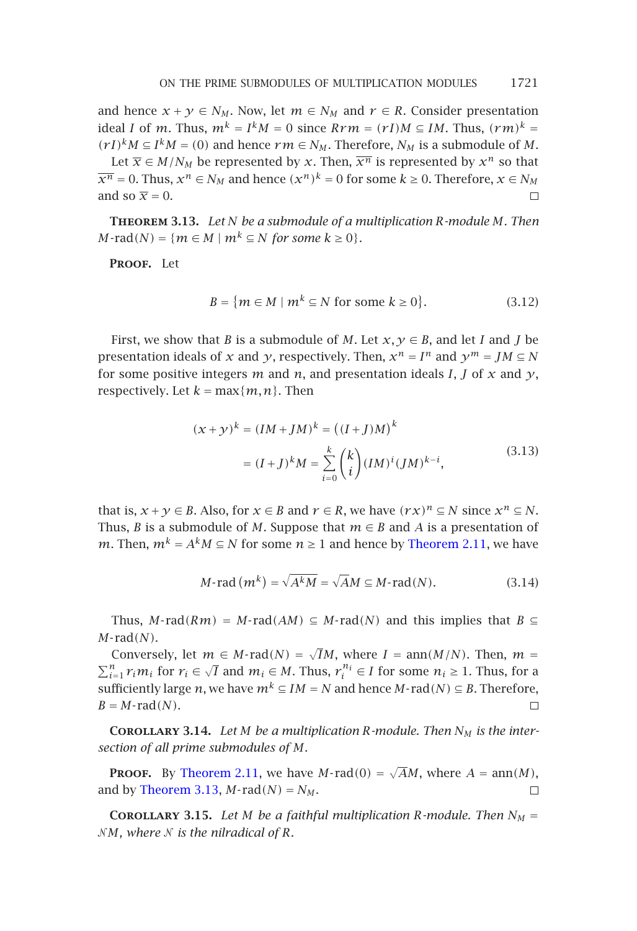<span id="page-6-0"></span>and hence  $x + y \in N_M$ . Now, let  $m \in N_M$  and  $r \in R$ . Consider presentation ideal *I* of *m*. Thus,  $m^k = I^kM = 0$  since  $Rrm = (rI)M \subseteq IM$ . Thus,  $(rm)^k =$ *(rI)<sup>k</sup>M* ⊆ *I<sup>k</sup>M* = *(0)* and hence *rm* ∈ *N<sub>M</sub>*. Therefore, *N<sub>M</sub>* is a submodule of *M*.

Let  $\overline{x} \in M/N_M$  be represented by *x*. Then,  $\overline{x^n}$  is represented by  $x^n$  so that  $\overline{x^n} = 0$ . Thus,  $x^n \in N_M$  and hence  $(x^n)^k = 0$  for some  $k \ge 0$ . Therefore,  $x \in N_M$ and so  $\bar{x} = 0$ .  $\Box$ 

**Theorem 3.13.** *Let N be a submodule of a multiplication R-module M. Then*  $M$ **-** rad $(N) = \{m \in M \mid m^k \subseteq N \text{ for some } k \geq 0\}.$ 

**Proof.** Let

$$
B = \{ m \in M \mid m^k \subseteq N \text{ for some } k \ge 0 \}. \tag{3.12}
$$

First, we show that *B* is a submodule of *M*. Let  $x, y \in B$ , and let *I* and *J* be presentation ideals of *x* and *y*, respectively. Then,  $x^n = I^n$  and  $y^m = JM \subseteq N$ for some positive integers *m* and *n*, and presentation ideals *I*, *J* of *x* and  $\gamma$ , respectively. Let  $k = \max\{m, n\}$ . Then

$$
(x+y)^k = (IM + JM)^k = ((I + J)M)^k
$$
  
=  $(I+J)^k M = \sum_{i=0}^k {k \choose i} (IM)^i (JM)^{k-i},$  (3.13)

that is,  $x + y \in B$ . Also, for  $x \in B$  and  $r \in R$ , we have  $(rx)^n \subseteq N$  since  $x^n \subseteq N$ . Thus, *B* is a submodule of *M*. Suppose that  $m \in B$  and *A* is a presentation of *m*. Then,  $m^k = A^k M \subseteq N$  for some  $n \ge 1$  and hence by Theorem 2.11, we have

$$
M\text{-}\operatorname{rad}\left(m^{k}\right) = \sqrt{A^{k}M} = \sqrt{A}M \subseteq M\text{-}\operatorname{rad}\left(N\right). \tag{3.14}
$$

Thus, *M*-rad( $Rm$ ) = *M*-rad( $AM$ )  $\subseteq$  *M*-rad( $N$ ) and this implies that  $B \subseteq$ *M*- rad*[\(N\)](#page-6-0)*.

Conversely, let  $m \in M$ -rad $(N) = \sqrt{I}M$ , where  $I = \text{ann}(M/N)$ . Then,  $m =$  $\sum_{i=1}^{n} r_i m_i$  for  $r_i \in \sqrt{I}$  and  $m_i \in M$ . Thus,  $r_i^{n_i} \in I$  for some  $n_i \ge 1$ . Thus, for a sufficiently large *n*, we have  $m^k \subseteq IM = N$  and hence  $M$ -rad $(N) \subseteq B$ . Therefore,  $B = M$ -rad $(N)$ .  $\Box$ 

**COROLLARY 3.14.** *Let M be a multiplication R-module. Then*  $N_M$  *is the intersection of all prime submodules of M.*

**PROOF.** By Theorem 2.11, we have *M*-rad $(0) = \sqrt{A}M$ , where  $A = \text{ann}(M)$ , and by Theorem 3.13,  $M$ -rad $(N) = N_M$ .  $\Box$ 

**COROLLARY** 3.15. Let *M* be a faithful multiplication *R*-module. Then  $N_M =$  $NM$ , where  $N$  is the nilradical of  $R$ *.*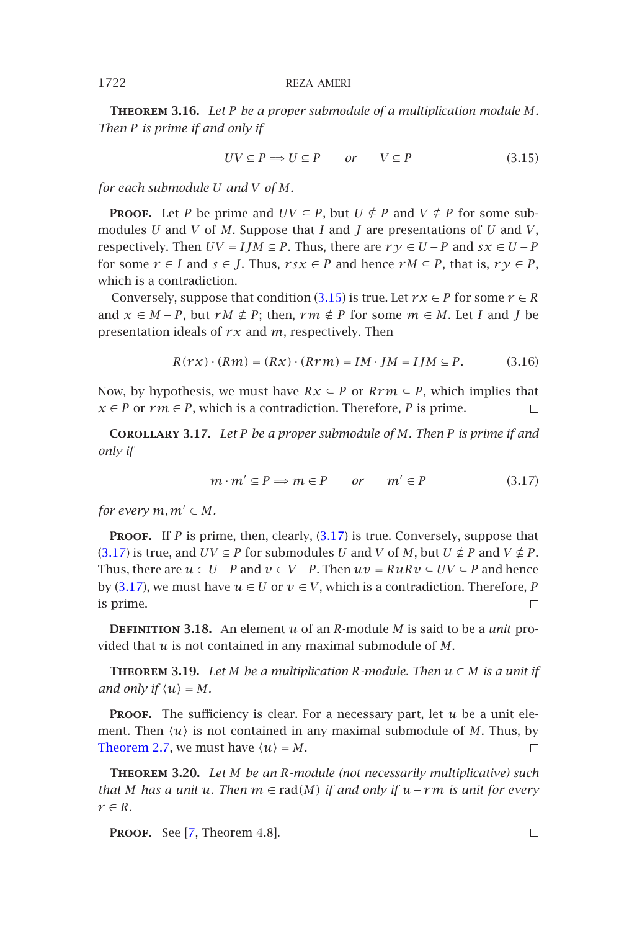**Theorem 3.16.** *Let P be a proper submodule of a multiplication module M. Then P is prime if and only if*

<span id="page-7-1"></span>
$$
UV \subseteq P \implies U \subseteq P \qquad or \qquad V \subseteq P \tag{3.15}
$$

*for each submodule U and V of M.*

**PROOF.** Let *P* be prime and  $UV \subseteq P$ , but  $U \nsubseteq P$  and  $V \nsubseteq P$  for some submodules *U* and *V* of *M*. Suppose that *I* and *J* are presentations of *U* and *V*, respectively. Then  $UV = IJM \subseteq P$ . Thus, there are  $ry \in U - P$  and  $sx \in U - P$ for some  $r \in I$  and  $s \in J$ . Thus,  $rsx \in P$  and hence  $rM \subseteq P$ , that is,  $ry \in P$ , which is a contradiction.

Conversely, suppose that condition (3.15) is true. Let  $r x \in P$  for some  $r \in R$ and  $x \in M - P$ , but  $rM \notin P$ ; then,  $rm \in P$  for some  $m \in M$ . Let *I* and *J* be presentation ideals of *r x* and *m*, respectively. Then

$$
R(r\mathcal{X}) \cdot (Rm) = (Rx) \cdot (Rrm) = IM \cdot JM = IJM \subseteq P. \tag{3.16}
$$

Now, by hypothesis, we must have  $Rx \subseteq P$  or  $Rrm \subseteq P$ , which implies that *x* [∈](#page-7-1) *P* or *rm* ∈ *P*, which is a contradiction. Therefore, *P* is prime.  $\Box$ 

**[Corol](#page-7-1)lary 3.17.** *Let P be a proper submodule of M. Then P is prime if and only if*

$$
m \cdot m' \subseteq P \implies m \in P \qquad or \qquad m' \in P \tag{3.17}
$$

<span id="page-7-2"></span>*for every*  $m, m' \in M$ .

**PROOF.** If *P* is prime, then, clearly, (3.17) is true. Conversely, suppose that  $(3.17)$  is true, and  $UV \subseteq P$  for submodules *U* and *V* of *M*, but  $U \not\subseteq P$  and  $V \not\subseteq P$ . Thus, there are  $u \in U - P$  and  $v \in V - P$ . Then  $uv = RuRv \subseteq UV \subseteq P$  and hence by (3.17), we must have  $u \in U$  or  $v \in V$ , which is a contradiction. Therefore, *P* [is prime.](#page-1-4)  $\Box$ 

**Definition 3.18.** An element *u* of an *R*-module *M* is said to be a *unit* provided that *u* is not contained in any maximal submodule of *M*.

**THEOREM** 3.19. Let *M* be a multiplication *R*-module. Then  $u \in M$  is a unit if *and only if*  $\langle u \rangle = M$  $\langle u \rangle = M$  $\langle u \rangle = M$ *.* 

**PROOF.** The sufficiency is clear. For a necessary part, let  $u$  be a unit element. Then  $\langle u \rangle$  is not contained in any maximal submodule of *M*. Thus, by Theorem 2.7, we must have  $\langle u \rangle = M$ .  $\Box$ 

**Theorem 3.20.** *Let M be an R-module (not necessarily multiplicative) such that M has a unit u. Then m* ∈ rad*(M) if and only if u*−*rm is unit for every*  $r \in R$ *.* 

**Proof.** See [7, Theorem 4.8].

<span id="page-7-0"></span>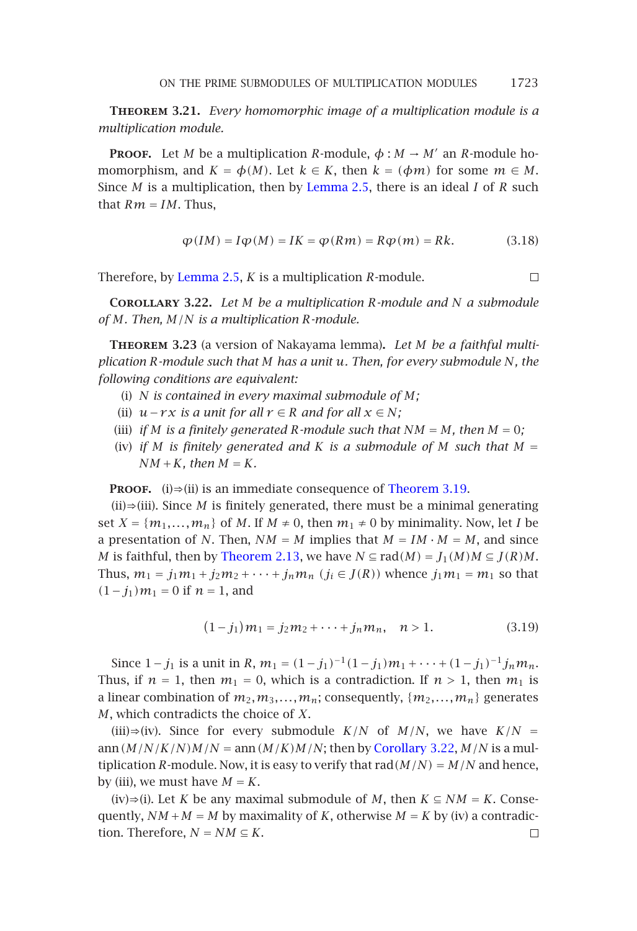**Theorem 3.21.** *Every homomorphic image of a multiplication module is a multiplication [module.](#page-1-2)*

**PROOF.** Let *M* be a multiplication *R*-module,  $\phi : M \rightarrow M'$  an *R*-module homomorphism, and  $K = \phi(M)$ . Let  $k \in K$ , then  $k = (\phi m)$  for some  $m \in M$ . Since *M* is a multiplication, then by Lemma 2.5, there is an ideal *I* of *R* such that  $Rm = IM$ . Thus,

$$
\varphi(IM) = I\varphi(M) = IK = \varphi(Rm) = R\varphi(m) = Rk.
$$
 (3.18)

 $\Box$ 

Therefore, by Lemma 2.5, *K* is a multiplication *R*-module.

**Corollary 3.22.** *Let M be a multiplication R-module and N a submodule of M. Then, M/N is a multiplication R-module.*

**Theorem 3.23** (a version of Nakayama lemma)**.** *Let M [be](#page-7-2) [a](#page-7-2) [fa](#page-7-2)ithful multiplication R-module such that M has a unit u. Then, for every submodule N, the following conditions are equivalent:*

- (i) *N is contained in every maximal submodule of M;*
- (ii)  $u r x$  *is a un[it](#page-2-1) [for](#page-2-1) [all](#page-2-1)*  $r \in R$  *and for all*  $x \in N$ *;*
- (iii) *if*  $M$  *is a finitely generated*  $R$ *-module such that*  $NM = M$ *, then*  $M = 0$ *;*
- (iv) *if M is finitely generated and K is a submodule of M such that*  $M =$  $NM + K$ *, then*  $M = K$ *.*

**PROOF.** (i)⇒(ii) is an immediate consequence of Theorem 3.19.

 $(ii) \Rightarrow (iii)$ . Since *M* is finitely generated, there must be a minimal generating set  $X = \{m_1, \ldots, m_n\}$  of *M*. If  $M \neq 0$ , then  $m_1 \neq 0$  by minimality. Now, let *I* be a presentation of *N*. Then,  $NM = M$  implies that  $M = IM \cdot M = M$ , and since *M* is faithful, then by Theorem 2.13, we have  $N \subseteq rad(M) = J_1(M)M \subseteq J(R)M$ . Thus,  $m_1 = j_1 m_1 + j_2 m_2 + \cdots + j_n m_n$   $(j_i \in J(R))$  whence  $j_1 m_1 = m_1$  so that  $(1−j_1)m_1 = 0$  if  $n = 1$ , and

$$
(1-j_1)m_1 = j_2m_2 + \dots + j_n m_n, \quad n > 1.
$$
 (3.19)

Since  $1 - j_1$  is a unit in *R*,  $m_1 = (1 - j_1)^{-1}(1 - j_1)m_1 + \cdots + (1 - j_1)^{-1}j_n m_n$ . Thus, if  $n = 1$ , then  $m_1 = 0$ , which is a contradiction. If  $n > 1$ , then  $m_1$  is a linear combination of  $m_2, m_3, \ldots, m_n$ ; consequently,  $\{m_2, \ldots, m_n\}$  generates *M*, which contradicts the choice of *X*.

(iii)⇒(iv). Since for every submodule  $K/N$  of  $M/N$ , we have  $K/N =$ ann  $(M/N/K/N)M/N$  = ann  $(M/K)M/N$ ; then by Corollary 3.22,  $M/N$  is a multiplication *R*-module. Now, it is easy to verify that rad $(M/N) = M/N$  and hence, by (iii), we must have  $M = K$ .

(iv)⇒(i). Let *K* be any maximal submodule of *M*, then *K* ⊆ *NM* = *K*. Consequently,  $NM + M = M$  by maximality of *K*, otherwise  $M = K$  by (iv) a contradiction. Therefore,  $N = NM \subseteq K$ .  $\Box$